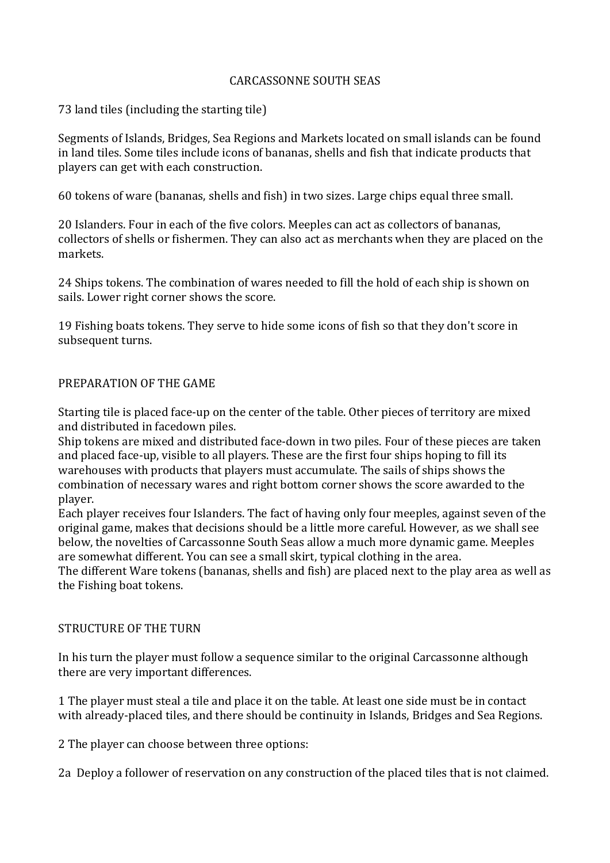## CARCASSONNE SOUTH SEAS

73 land tiles (including the starting tile)

Segments of Islands, Bridges, Sea Regions and Markets located on small islands can be found in land tiles. Some tiles include icons of bananas, shells and fish that indicate products that players can get with each construction.

60 tokens of ware (bananas, shells and fish) in two sizes. Large chips equal three small.

20 Islanders. Four in each of the five colors. Meeples can act as collectors of bananas, collectors of shells or fishermen. They can also act as merchants when they are placed on the markets.

24 Ships tokens. The combination of wares needed to fill the hold of each ship is shown on sails. Lower right corner shows the score.

19 Fishing boats tokens. They serve to hide some icons of fish so that they don't score in subsequent turns.

## PREPARATION OF THE GAME

Starting tile is placed face-up on the center of the table. Other pieces of territory are mixed and distributed in facedown piles.

Ship tokens are mixed and distributed face-down in two piles. Four of these pieces are taken and placed face-up, visible to all players. These are the first four ships hoping to fill its warehouses with products that players must accumulate. The sails of ships shows the combination of necessary wares and right bottom corner shows the score awarded to the player.

Each player receives four Islanders. The fact of having only four meeples, against seven of the original game, makes that decisions should be a little more careful. However, as we shall see below, the novelties of Carcassonne South Seas allow a much more dynamic game. Meeples are somewhat different. You can see a small skirt, typical clothing in the area.

The different Ware tokens (bananas, shells and fish) are placed next to the play area as well as the Fishing boat tokens.

## STRUCTURE OF THE TURN

In his turn the player must follow a sequence similar to the original Carcassonne although there are very important differences.

1 The player must steal a tile and place it on the table. At least one side must be in contact with already-placed tiles, and there should be continuity in Islands, Bridges and Sea Regions.

2 The player can choose between three options:

2a Deploy a follower of reservation on any construction of the placed tiles that is not claimed.